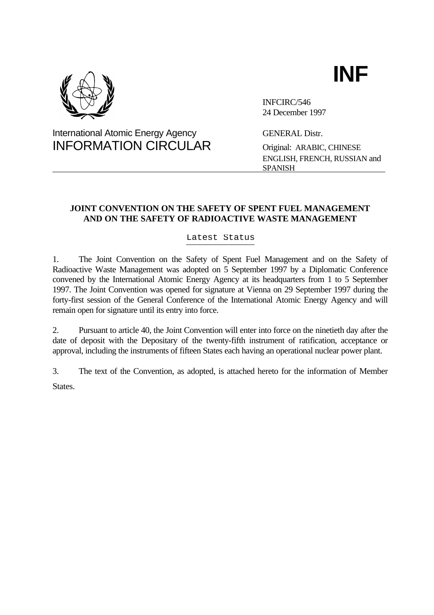



INFCIRC/546 24 December 1997

**ENGLISH, FRENCH, RUSSIAN and** SPANISH

# **JOINT CONVENTION ON THE SAFETY OF SPENT FUEL MANAGEMENT AND ON THE SAFETY OF RADIOACTIVE WASTE MANAGEMENT**

#### Latest Status

1. The Joint Convention on the Safety of Spent Fuel Management and on the Safety of Radioactive Waste Management was adopted on 5 September 1997 by a Diplomatic Conference convened by the International Atomic Energy Agency at its headquarters from 1 to 5 September 1997. The Joint Convention was opened for signature at Vienna on 29 September 1997 during the forty-first session of the General Conference of the International Atomic Energy Agency and will remain open for signature until its entry into force.

2. Pursuant to article 40, the Joint Convention will enter into force on the ninetieth day after the date of deposit with the Depositary of the twenty-fifth instrument of ratification, acceptance or approval, including the instruments of fifteen States each having an operational nuclear power plant.

3. The text of the Convention, as adopted, is attached hereto for the information of Member States.

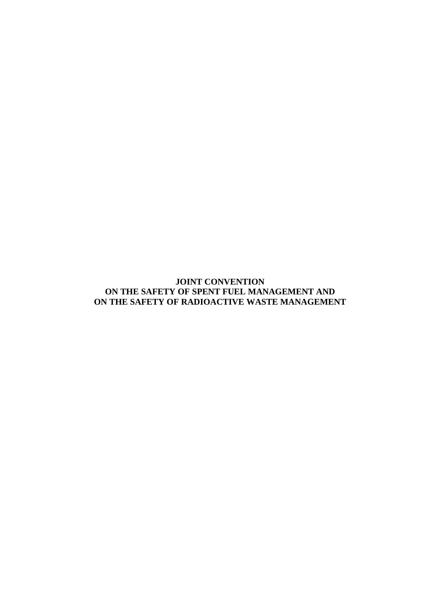### **JOINT CONVENTION ON THE SAFETY OF SPENT FUEL MANAGEMENT AND ON THE SAFETY OF RADIOACTIVE WASTE MANAGEMENT**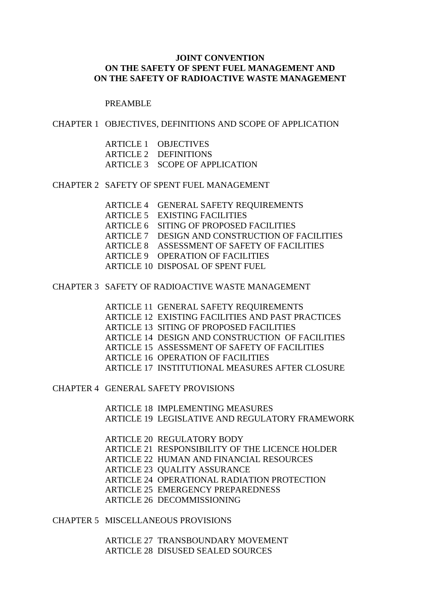#### **JOINT CONVENTION ON THE SAFETY OF SPENT FUEL MANAGEMENT AND ON THE SAFETY OF RADIOACTIVE WASTE MANAGEMENT**

#### PREAMBLE

### CHAPTER 1 OBJECTIVES, DEFINITIONS AND SCOPE OF APPLICATION

| ARTICLE 1 OBJECTIVES           |
|--------------------------------|
| ARTICLE 2 DEFINITIONS          |
| ARTICLE 3 SCOPE OF APPLICATION |

#### CHAPTER 2 SAFETY OF SPENT FUEL MANAGEMENT

ARTICLE 4 GENERAL SAFETY REQUIREMENTS ARTICLE 5 EXISTING FACILITIES ARTICLE 6 SITING OF PROPOSED FACILITIES ARTICLE 7 DESIGN AND CONSTRUCTION OF FACILITIES ARTICLE 8 ASSESSMENT OF SAFETY OF FACILITIES ARTICLE 9 OPERATION OF FACILITIES ARTICLE 10 DISPOSAL OF SPENT FUEL

### CHAPTER 3 SAFETY OF RADIOACTIVE WASTE MANAGEMENT

ARTICLE 11 GENERAL SAFETY REQUIREMENTS ARTICLE 12 EXISTING FACILITIES AND PAST PRACTICES ARTICLE 13 SITING OF PROPOSED FACILITIES ARTICLE 14 DESIGN AND CONSTRUCTION OF FACILITIES ARTICLE 15 ASSESSMENT OF SAFETY OF FACILITIES ARTICLE 16 OPERATION OF FACILITIES ARTICLE 17 INSTITUTIONAL MEASURES AFTER CLOSURE

CHAPTER 4 GENERAL SAFETY PROVISIONS

ARTICLE 18 IMPLEMENTING MEASURES ARTICLE 19 LEGISLATIVE AND REGULATORY FRAMEWORK

ARTICLE 20 REGULATORY BODY ARTICLE 21 RESPONSIBILITY OF THE LICENCE HOLDER ARTICLE 22 HUMAN AND FINANCIAL RESOURCES ARTICLE 23 QUALITY ASSURANCE ARTICLE 24 OPERATIONAL RADIATION PROTECTION ARTICLE 25 EMERGENCY PREPAREDNESS ARTICLE 26 DECOMMISSIONING

CHAPTER 5 MISCELLANEOUS PROVISIONS

ARTICLE 27 TRANSBOUNDARY MOVEMENT ARTICLE 28 DISUSED SEALED SOURCES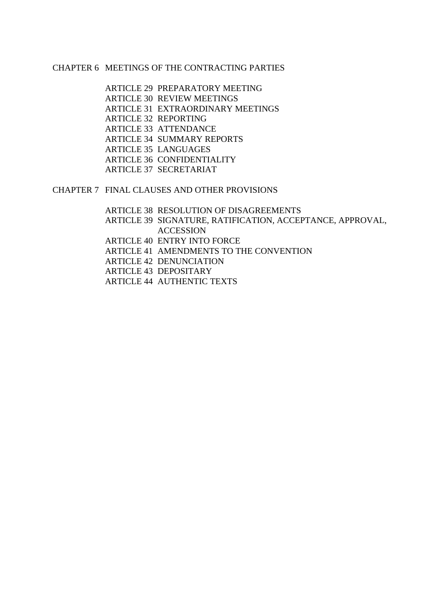CHAPTER 6 MEETINGS OF THE CONTRACTING PARTIES

ARTICLE 29 PREPARATORY MEETING ARTICLE 30 REVIEW MEETINGS ARTICLE 31 EXTRAORDINARY MEETINGS ARTICLE 32 REPORTING ARTICLE 33 ATTENDANCE ARTICLE 34 SUMMARY REPORTS ARTICLE 35 LANGUAGES ARTICLE 36 CONFIDENTIALITY ARTICLE 37 SECRETARIAT

CHAPTER 7 FINAL CLAUSES AND OTHER PROVISIONS

ARTICLE 38 RESOLUTION OF DISAGREEMENTS ARTICLE 39 SIGNATURE, RATIFICATION, ACCEPTANCE, APPROVAL, **ACCESSION** ARTICLE 40 ENTRY INTO FORCE ARTICLE 41 AMENDMENTS TO THE CONVENTION ARTICLE 42 DENUNCIATION ARTICLE 43 DEPOSITARY ARTICLE 44 AUTHENTIC TEXTS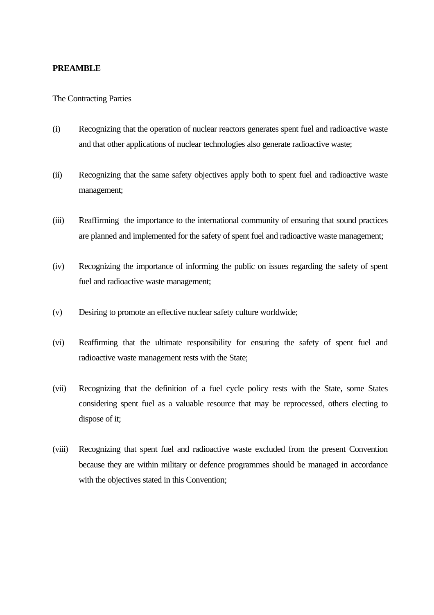### **PREAMBLE**

#### The Contracting Parties

- (i) Recognizing that the operation of nuclear reactors generates spent fuel and radioactive waste and that other applications of nuclear technologies also generate radioactive waste;
- (ii) Recognizing that the same safety objectives apply both to spent fuel and radioactive waste management;
- (iii) Reaffirming the importance to the international community of ensuring that sound practices are planned and implemented for the safety of spent fuel and radioactive waste management;
- (iv) Recognizing the importance of informing the public on issues regarding the safety of spent fuel and radioactive waste management;
- (v) Desiring to promote an effective nuclear safety culture worldwide;
- (vi) Reaffirming that the ultimate responsibility for ensuring the safety of spent fuel and radioactive waste management rests with the State;
- (vii) Recognizing that the definition of a fuel cycle policy rests with the State, some States considering spent fuel as a valuable resource that may be reprocessed, others electing to dispose of it;
- (viii) Recognizing that spent fuel and radioactive waste excluded from the present Convention because they are within military or defence programmes should be managed in accordance with the objectives stated in this Convention;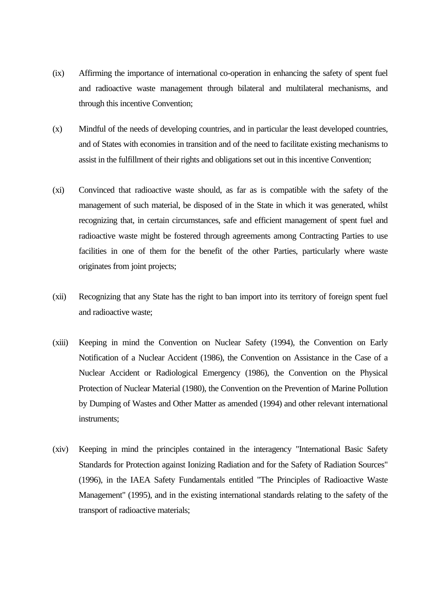- (ix) Affirming the importance of international co-operation in enhancing the safety of spent fuel and radioactive waste management through bilateral and multilateral mechanisms, and through this incentive Convention;
- (x) Mindful of the needs of developing countries, and in particular the least developed countries, and of States with economies in transition and of the need to facilitate existing mechanisms to assist in the fulfillment of their rights and obligations set out in this incentive Convention;
- (xi) Convinced that radioactive waste should, as far as is compatible with the safety of the management of such material, be disposed of in the State in which it was generated, whilst recognizing that, in certain circumstances, safe and efficient management of spent fuel and radioactive waste might be fostered through agreements among Contracting Parties to use facilities in one of them for the benefit of the other Parties, particularly where waste originates from joint projects;
- (xii) Recognizing that any State has the right to ban import into its territory of foreign spent fuel and radioactive waste;
- (xiii) Keeping in mind the Convention on Nuclear Safety (1994), the Convention on Early Notification of a Nuclear Accident (1986), the Convention on Assistance in the Case of a Nuclear Accident or Radiological Emergency (1986), the Convention on the Physical Protection of Nuclear Material (1980), the Convention on the Prevention of Marine Pollution by Dumping of Wastes and Other Matter as amended (1994) and other relevant international instruments;
- (xiv) Keeping in mind the principles contained in the interagency "International Basic Safety Standards for Protection against Ionizing Radiation and for the Safety of Radiation Sources" (1996), in the IAEA Safety Fundamentals entitled "The Principles of Radioactive Waste Management" (1995), and in the existing international standards relating to the safety of the transport of radioactive materials;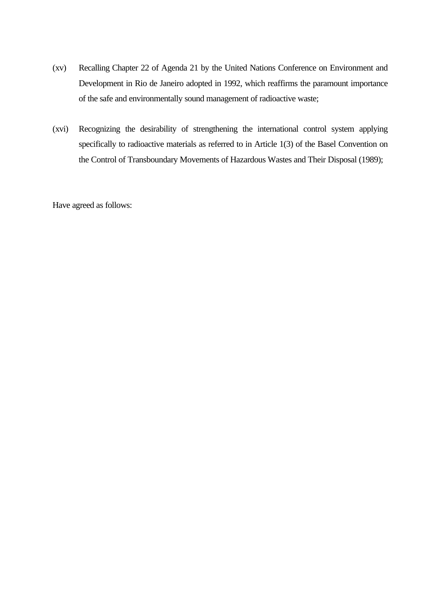- (xv) Recalling Chapter 22 of Agenda 21 by the United Nations Conference on Environment and Development in Rio de Janeiro adopted in 1992, which reaffirms the paramount importance of the safe and environmentally sound management of radioactive waste;
- (xvi) Recognizing the desirability of strengthening the international control system applying specifically to radioactive materials as referred to in Article 1(3) of the Basel Convention on the Control of Transboundary Movements of Hazardous Wastes and Their Disposal (1989);

Have agreed as follows: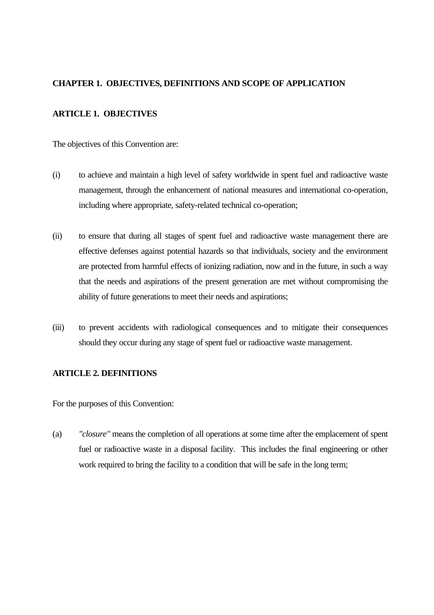### **CHAPTER 1. OBJECTIVES, DEFINITIONS AND SCOPE OF APPLICATION**

### **ARTICLE 1. OBJECTIVES**

The objectives of this Convention are:

- (i) to achieve and maintain a high level of safety worldwide in spent fuel and radioactive waste management, through the enhancement of national measures and international co-operation, including where appropriate, safety-related technical co-operation;
- (ii) to ensure that during all stages of spent fuel and radioactive waste management there are effective defenses against potential hazards so that individuals, society and the environment are protected from harmful effects of ionizing radiation, now and in the future, in such a way that the needs and aspirations of the present generation are met without compromising the ability of future generations to meet their needs and aspirations;
- (iii) to prevent accidents with radiological consequences and to mitigate their consequences should they occur during any stage of spent fuel or radioactive waste management.

### **ARTICLE 2. DEFINITIONS**

For the purposes of this Convention:

(a) *"closure"* means the completion of all operations at some time after the emplacement of spent fuel or radioactive waste in a disposal facility. This includes the final engineering or other work required to bring the facility to a condition that will be safe in the long term;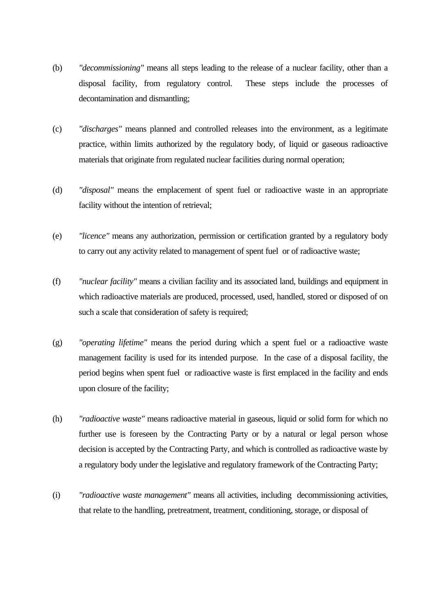- (b) *"decommissioning"* means all steps leading to the release of a nuclear facility, other than a disposal facility, from regulatory control. These steps include the processes of decontamination and dismantling;
- (c) *"discharges"* means planned and controlled releases into the environment, as a legitimate practice, within limits authorized by the regulatory body, of liquid or gaseous radioactive materials that originate from regulated nuclear facilities during normal operation;
- (d) *"disposal"* means the emplacement of spent fuel or radioactive waste in an appropriate facility without the intention of retrieval;
- (e) *"licence"* means any authorization, permission or certification granted by a regulatory body to carry out any activity related to management of spent fuel or of radioactive waste;
- (f) *"nuclear facility"* means a civilian facility and its associated land, buildings and equipment in which radioactive materials are produced, processed, used, handled, stored or disposed of on such a scale that consideration of safety is required;
- (g) *"operating lifetime"* means the period during which a spent fuel or a radioactive waste management facility is used for its intended purpose. In the case of a disposal facility, the period begins when spent fuel or radioactive waste is first emplaced in the facility and ends upon closure of the facility;
- (h) *"radioactive waste"* means radioactive material in gaseous, liquid or solid form for which no further use is foreseen by the Contracting Party or by a natural or legal person whose decision is accepted by the Contracting Party, and which is controlled as radioactive waste by a regulatory body under the legislative and regulatory framework of the Contracting Party;
- (i) *"radioactive waste management"* means all activities, including decommissioning activities, that relate to the handling, pretreatment, treatment, conditioning, storage, or disposal of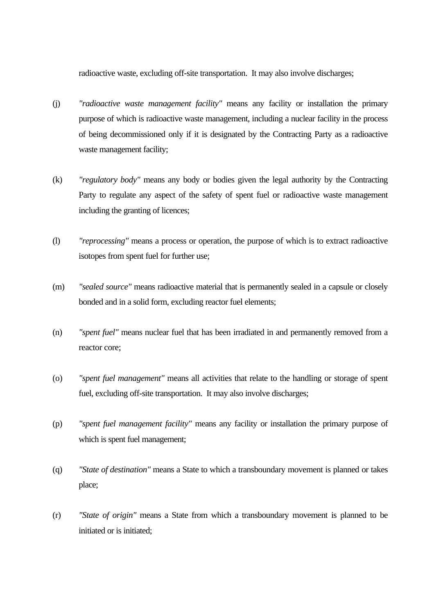radioactive waste, excluding off-site transportation. It may also involve discharges;

- (j) *"radioactive waste management facility"* means any facility or installation the primary purpose of which is radioactive waste management, including a nuclear facility in the process of being decommissioned only if it is designated by the Contracting Party as a radioactive waste management facility;
- (k) *"regulatory body"* means any body or bodies given the legal authority by the Contracting Party to regulate any aspect of the safety of spent fuel or radioactive waste management including the granting of licences;
- (l) *"reprocessing"* means a process or operation, the purpose of which is to extract radioactive isotopes from spent fuel for further use;
- (m) *"sealed source"* means radioactive material that is permanently sealed in a capsule or closely bonded and in a solid form, excluding reactor fuel elements;
- (n) *"spent fuel"* means nuclear fuel that has been irradiated in and permanently removed from a reactor core;
- (o) *"spent fuel management"* means all activities that relate to the handling or storage of spent fuel, excluding off-site transportation. It may also involve discharges;
- (p) *"spent fuel management facility"* means any facility or installation the primary purpose of which is spent fuel management;
- (q) *"State of destination"* means a State to which a transboundary movement is planned or takes place;
- (r) *"State of origin"* means a State from which a transboundary movement is planned to be initiated or is initiated;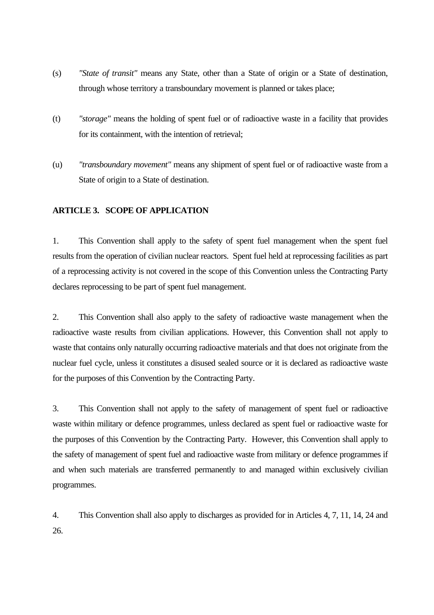- (s) *"State of transit"* means any State, other than a State of origin or a State of destination, through whose territory a transboundary movement is planned or takes place;
- (t) *"storage"* means the holding of spent fuel or of radioactive waste in a facility that provides for its containment, with the intention of retrieval;
- (u) *"transboundary movement"* means any shipment of spent fuel or of radioactive waste from a State of origin to a State of destination.

### **ARTICLE 3. SCOPE OF APPLICATION**

1. This Convention shall apply to the safety of spent fuel management when the spent fuel results from the operation of civilian nuclear reactors. Spent fuel held at reprocessing facilities as part of a reprocessing activity is not covered in the scope of this Convention unless the Contracting Party declares reprocessing to be part of spent fuel management.

2. This Convention shall also apply to the safety of radioactive waste management when the radioactive waste results from civilian applications. However, this Convention shall not apply to waste that contains only naturally occurring radioactive materials and that does not originate from the nuclear fuel cycle, unless it constitutes a disused sealed source or it is declared as radioactive waste for the purposes of this Convention by the Contracting Party.

3. This Convention shall not apply to the safety of management of spent fuel or radioactive waste within military or defence programmes, unless declared as spent fuel or radioactive waste for the purposes of this Convention by the Contracting Party. However, this Convention shall apply to the safety of management of spent fuel and radioactive waste from military or defence programmes if and when such materials are transferred permanently to and managed within exclusively civilian programmes.

4. This Convention shall also apply to discharges as provided for in Articles 4, 7, 11, 14, 24 and 26.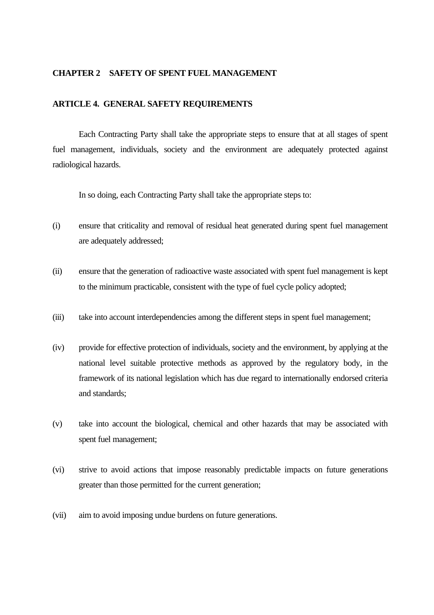#### **CHAPTER 2 SAFETY OF SPENT FUEL MANAGEMENT**

#### **ARTICLE 4. GENERAL SAFETY REQUIREMENTS**

Each Contracting Party shall take the appropriate steps to ensure that at all stages of spent fuel management, individuals, society and the environment are adequately protected against radiological hazards.

In so doing, each Contracting Party shall take the appropriate steps to:

- (i) ensure that criticality and removal of residual heat generated during spent fuel management are adequately addressed;
- (ii) ensure that the generation of radioactive waste associated with spent fuel management is kept to the minimum practicable, consistent with the type of fuel cycle policy adopted;
- (iii) take into account interdependencies among the different steps in spent fuel management;
- (iv) provide for effective protection of individuals, society and the environment, by applying at the national level suitable protective methods as approved by the regulatory body, in the framework of its national legislation which has due regard to internationally endorsed criteria and standards;
- (v) take into account the biological, chemical and other hazards that may be associated with spent fuel management;
- (vi) strive to avoid actions that impose reasonably predictable impacts on future generations greater than those permitted for the current generation;
- (vii) aim to avoid imposing undue burdens on future generations.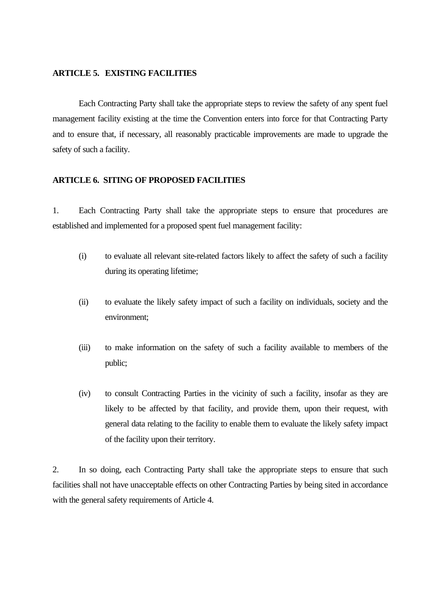#### **ARTICLE 5. EXISTING FACILITIES**

Each Contracting Party shall take the appropriate steps to review the safety of any spent fuel management facility existing at the time the Convention enters into force for that Contracting Party and to ensure that, if necessary, all reasonably practicable improvements are made to upgrade the safety of such a facility.

### **ARTICLE 6. SITING OF PROPOSED FACILITIES**

1. Each Contracting Party shall take the appropriate steps to ensure that procedures are established and implemented for a proposed spent fuel management facility:

- (i) to evaluate all relevant site-related factors likely to affect the safety of such a facility during its operating lifetime;
- (ii) to evaluate the likely safety impact of such a facility on individuals, society and the environment;
- (iii) to make information on the safety of such a facility available to members of the public;
- (iv) to consult Contracting Parties in the vicinity of such a facility, insofar as they are likely to be affected by that facility, and provide them, upon their request, with general data relating to the facility to enable them to evaluate the likely safety impact of the facility upon their territory.

2. In so doing, each Contracting Party shall take the appropriate steps to ensure that such facilities shall not have unacceptable effects on other Contracting Parties by being sited in accordance with the general safety requirements of Article 4.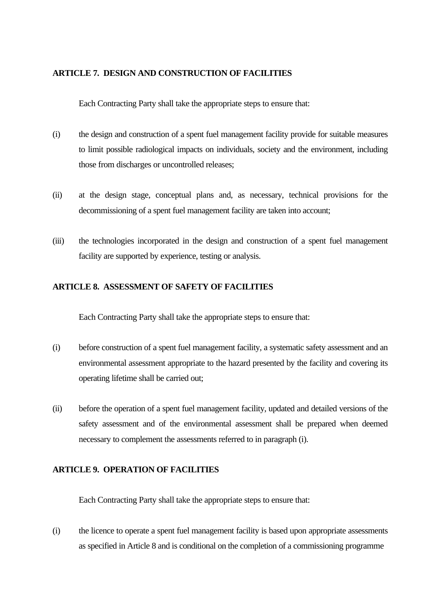#### **ARTICLE 7. DESIGN AND CONSTRUCTION OF FACILITIES**

Each Contracting Party shall take the appropriate steps to ensure that:

- (i) the design and construction of a spent fuel management facility provide for suitable measures to limit possible radiological impacts on individuals, society and the environment, including those from discharges or uncontrolled releases;
- (ii) at the design stage, conceptual plans and, as necessary, technical provisions for the decommissioning of a spent fuel management facility are taken into account;
- (iii) the technologies incorporated in the design and construction of a spent fuel management facility are supported by experience, testing or analysis.

### **ARTICLE 8. ASSESSMENT OF SAFETY OF FACILITIES**

Each Contracting Party shall take the appropriate steps to ensure that:

- (i) before construction of a spent fuel management facility, a systematic safety assessment and an environmental assessment appropriate to the hazard presented by the facility and covering its operating lifetime shall be carried out;
- (ii) before the operation of a spent fuel management facility, updated and detailed versions of the safety assessment and of the environmental assessment shall be prepared when deemed necessary to complement the assessments referred to in paragraph (i).

### **ARTICLE 9. OPERATION OF FACILITIES**

Each Contracting Party shall take the appropriate steps to ensure that:

(i) the licence to operate a spent fuel management facility is based upon appropriate assessments as specified in Article 8 and is conditional on the completion of a commissioning programme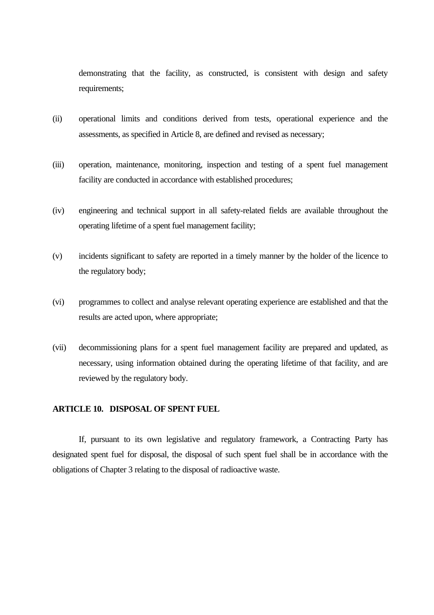demonstrating that the facility, as constructed, is consistent with design and safety requirements;

- (ii) operational limits and conditions derived from tests, operational experience and the assessments, as specified in Article 8, are defined and revised as necessary;
- (iii) operation, maintenance, monitoring, inspection and testing of a spent fuel management facility are conducted in accordance with established procedures;
- (iv) engineering and technical support in all safety-related fields are available throughout the operating lifetime of a spent fuel management facility;
- (v) incidents significant to safety are reported in a timely manner by the holder of the licence to the regulatory body;
- (vi) programmes to collect and analyse relevant operating experience are established and that the results are acted upon, where appropriate;
- (vii) decommissioning plans for a spent fuel management facility are prepared and updated, as necessary, using information obtained during the operating lifetime of that facility, and are reviewed by the regulatory body.

#### **ARTICLE 10. DISPOSAL OF SPENT FUEL**

If, pursuant to its own legislative and regulatory framework, a Contracting Party has designated spent fuel for disposal, the disposal of such spent fuel shall be in accordance with the obligations of Chapter 3 relating to the disposal of radioactive waste.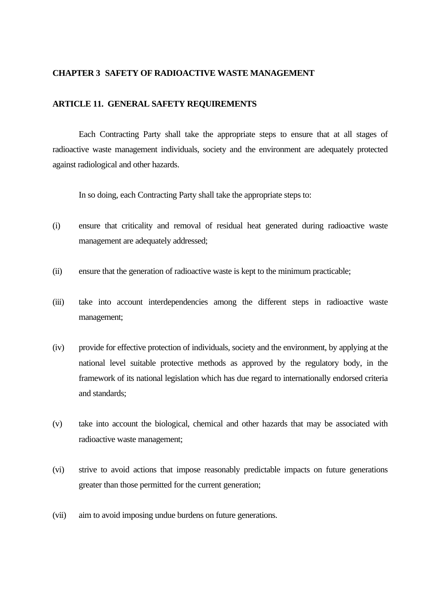### **CHAPTER 3 SAFETY OF RADIOACTIVE WASTE MANAGEMENT**

#### **ARTICLE 11. GENERAL SAFETY REQUIREMENTS**

Each Contracting Party shall take the appropriate steps to ensure that at all stages of radioactive waste management individuals, society and the environment are adequately protected against radiological and other hazards.

In so doing, each Contracting Party shall take the appropriate steps to:

- (i) ensure that criticality and removal of residual heat generated during radioactive waste management are adequately addressed;
- (ii) ensure that the generation of radioactive waste is kept to the minimum practicable;
- (iii) take into account interdependencies among the different steps in radioactive waste management;
- (iv) provide for effective protection of individuals, society and the environment, by applying at the national level suitable protective methods as approved by the regulatory body, in the framework of its national legislation which has due regard to internationally endorsed criteria and standards;
- (v) take into account the biological, chemical and other hazards that may be associated with radioactive waste management;
- (vi) strive to avoid actions that impose reasonably predictable impacts on future generations greater than those permitted for the current generation;
- (vii) aim to avoid imposing undue burdens on future generations.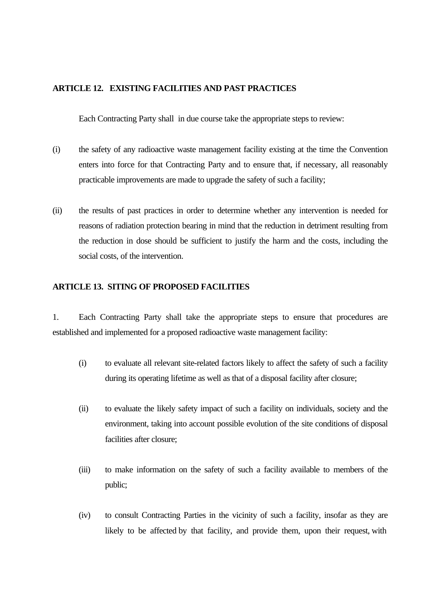#### **ARTICLE 12. EXISTING FACILITIES AND PAST PRACTICES**

Each Contracting Party shall in due course take the appropriate steps to review:

- (i) the safety of any radioactive waste management facility existing at the time the Convention enters into force for that Contracting Party and to ensure that, if necessary, all reasonably practicable improvements are made to upgrade the safety of such a facility;
- (ii) the results of past practices in order to determine whether any intervention is needed for reasons of radiation protection bearing in mind that the reduction in detriment resulting from the reduction in dose should be sufficient to justify the harm and the costs, including the social costs, of the intervention.

### **ARTICLE 13. SITING OF PROPOSED FACILITIES**

1. Each Contracting Party shall take the appropriate steps to ensure that procedures are established and implemented for a proposed radioactive waste management facility:

- (i) to evaluate all relevant site-related factors likely to affect the safety of such a facility during its operating lifetime as well as that of a disposal facility after closure;
- (ii) to evaluate the likely safety impact of such a facility on individuals, society and the environment, taking into account possible evolution of the site conditions of disposal facilities after closure;
- (iii) to make information on the safety of such a facility available to members of the public;
- (iv) to consult Contracting Parties in the vicinity of such a facility, insofar as they are likely to be affected by that facility, and provide them, upon their request, with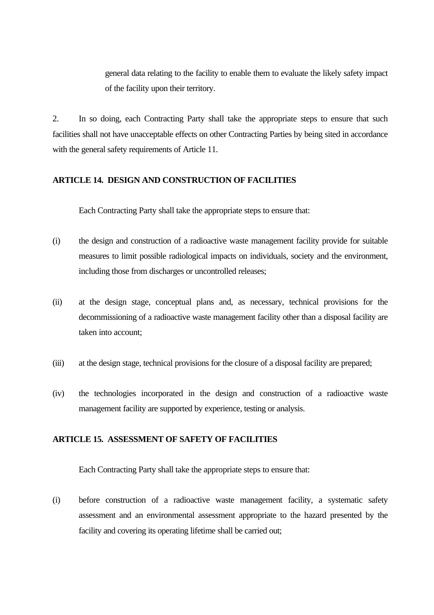general data relating to the facility to enable them to evaluate the likely safety impact of the facility upon their territory.

2. In so doing, each Contracting Party shall take the appropriate steps to ensure that such facilities shall not have unacceptable effects on other Contracting Parties by being sited in accordance with the general safety requirements of Article 11.

### **ARTICLE 14. DESIGN AND CONSTRUCTION OF FACILITIES**

Each Contracting Party shall take the appropriate steps to ensure that:

- (i) the design and construction of a radioactive waste management facility provide for suitable measures to limit possible radiological impacts on individuals, society and the environment, including those from discharges or uncontrolled releases;
- (ii) at the design stage, conceptual plans and, as necessary, technical provisions for the decommissioning of a radioactive waste management facility other than a disposal facility are taken into account;
- (iii) at the design stage, technical provisions for the closure of a disposal facility are prepared;
- (iv) the technologies incorporated in the design and construction of a radioactive waste management facility are supported by experience, testing or analysis.

#### **ARTICLE 15. ASSESSMENT OF SAFETY OF FACILITIES**

Each Contracting Party shall take the appropriate steps to ensure that:

(i) before construction of a radioactive waste management facility, a systematic safety assessment and an environmental assessment appropriate to the hazard presented by the facility and covering its operating lifetime shall be carried out;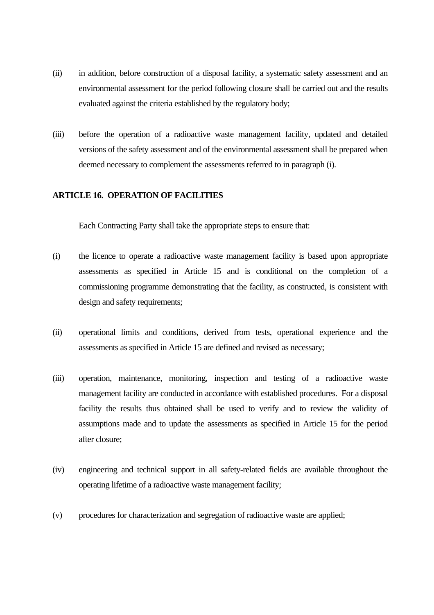- (ii) in addition, before construction of a disposal facility, a systematic safety assessment and an environmental assessment for the period following closure shall be carried out and the results evaluated against the criteria established by the regulatory body;
- (iii) before the operation of a radioactive waste management facility, updated and detailed versions of the safety assessment and of the environmental assessment shall be prepared when deemed necessary to complement the assessments referred to in paragraph (i).

#### **ARTICLE 16. OPERATION OF FACILITIES**

Each Contracting Party shall take the appropriate steps to ensure that:

- (i) the licence to operate a radioactive waste management facility is based upon appropriate assessments as specified in Article 15 and is conditional on the completion of a commissioning programme demonstrating that the facility, as constructed, is consistent with design and safety requirements;
- (ii) operational limits and conditions, derived from tests, operational experience and the assessments as specified in Article 15 are defined and revised as necessary;
- (iii) operation, maintenance, monitoring, inspection and testing of a radioactive waste management facility are conducted in accordance with established procedures. For a disposal facility the results thus obtained shall be used to verify and to review the validity of assumptions made and to update the assessments as specified in Article 15 for the period after closure;
- (iv) engineering and technical support in all safety-related fields are available throughout the operating lifetime of a radioactive waste management facility;
- (v) procedures for characterization and segregation of radioactive waste are applied;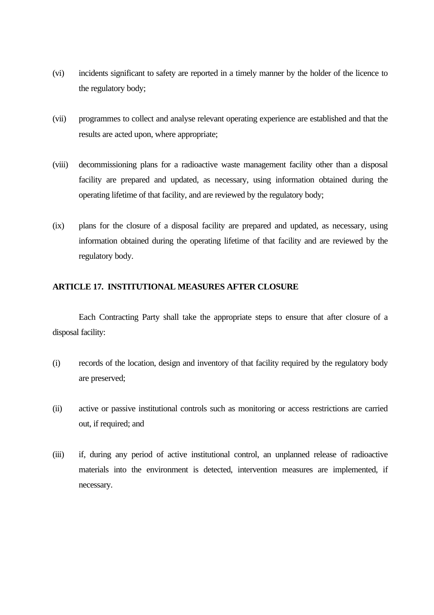- (vi) incidents significant to safety are reported in a timely manner by the holder of the licence to the regulatory body;
- (vii) programmes to collect and analyse relevant operating experience are established and that the results are acted upon, where appropriate;
- (viii) decommissioning plans for a radioactive waste management facility other than a disposal facility are prepared and updated, as necessary, using information obtained during the operating lifetime of that facility, and are reviewed by the regulatory body;
- (ix) plans for the closure of a disposal facility are prepared and updated, as necessary, using information obtained during the operating lifetime of that facility and are reviewed by the regulatory body.

### **ARTICLE 17. INSTITUTIONAL MEASURES AFTER CLOSURE**

Each Contracting Party shall take the appropriate steps to ensure that after closure of a disposal facility:

- (i) records of the location, design and inventory of that facility required by the regulatory body are preserved;
- (ii) active or passive institutional controls such as monitoring or access restrictions are carried out, if required; and
- (iii) if, during any period of active institutional control, an unplanned release of radioactive materials into the environment is detected, intervention measures are implemented, if necessary.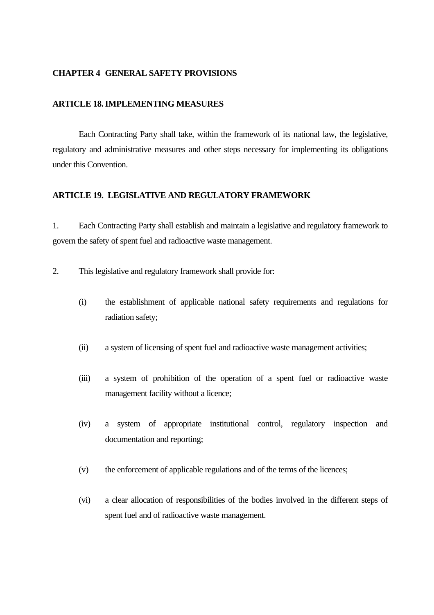#### **CHAPTER 4 GENERAL SAFETY PROVISIONS**

### **ARTICLE 18.IMPLEMENTING MEASURES**

Each Contracting Party shall take, within the framework of its national law, the legislative, regulatory and administrative measures and other steps necessary for implementing its obligations under this Convention.

#### **ARTICLE 19. LEGISLATIVE AND REGULATORY FRAMEWORK**

1. Each Contracting Party shall establish and maintain a legislative and regulatory framework to govern the safety of spent fuel and radioactive waste management.

- 2. This legislative and regulatory framework shall provide for:
	- (i) the establishment of applicable national safety requirements and regulations for radiation safety;
	- (ii) a system of licensing of spent fuel and radioactive waste management activities;
	- (iii) a system of prohibition of the operation of a spent fuel or radioactive waste management facility without a licence;
	- (iv) a system of appropriate institutional control, regulatory inspection and documentation and reporting;
	- (v) the enforcement of applicable regulations and of the terms of the licences;
	- (vi) a clear allocation of responsibilities of the bodies involved in the different steps of spent fuel and of radioactive waste management.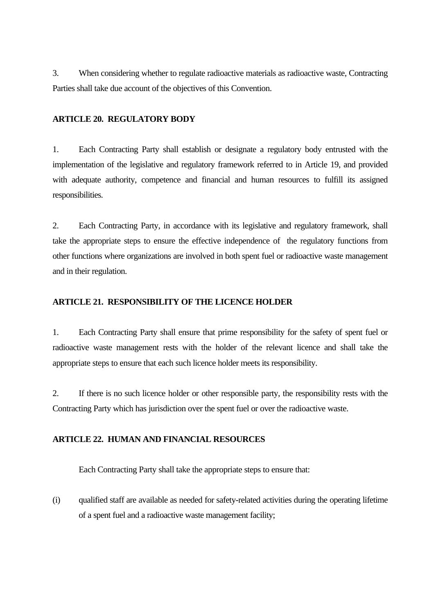3. When considering whether to regulate radioactive materials as radioactive waste, Contracting Parties shall take due account of the objectives of this Convention.

### **ARTICLE 20. REGULATORY BODY**

1. Each Contracting Party shall establish or designate a regulatory body entrusted with the implementation of the legislative and regulatory framework referred to in Article 19, and provided with adequate authority, competence and financial and human resources to fulfill its assigned responsibilities.

2. Each Contracting Party, in accordance with its legislative and regulatory framework, shall take the appropriate steps to ensure the effective independence of the regulatory functions from other functions where organizations are involved in both spent fuel or radioactive waste management and in their regulation.

### **ARTICLE 21. RESPONSIBILITY OF THE LICENCE HOLDER**

1. Each Contracting Party shall ensure that prime responsibility for the safety of spent fuel or radioactive waste management rests with the holder of the relevant licence and shall take the appropriate steps to ensure that each such licence holder meets its responsibility.

2. If there is no such licence holder or other responsible party, the responsibility rests with the Contracting Party which has jurisdiction over the spent fuel or over the radioactive waste.

#### **ARTICLE 22. HUMAN AND FINANCIAL RESOURCES**

Each Contracting Party shall take the appropriate steps to ensure that:

(i) qualified staff are available as needed for safety-related activities during the operating lifetime of a spent fuel and a radioactive waste management facility;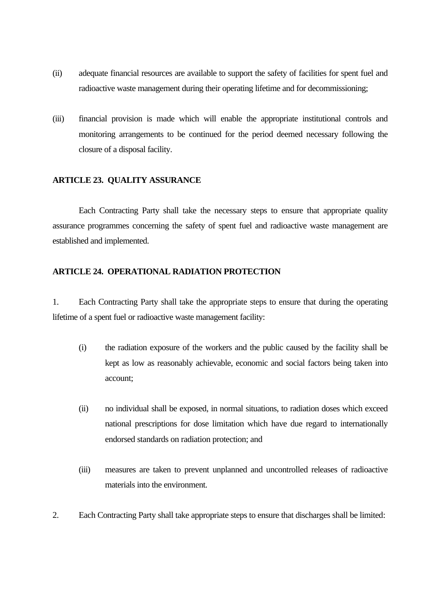- (ii) adequate financial resources are available to support the safety of facilities for spent fuel and radioactive waste management during their operating lifetime and for decommissioning;
- (iii) financial provision is made which will enable the appropriate institutional controls and monitoring arrangements to be continued for the period deemed necessary following the closure of a disposal facility.

### **ARTICLE 23. QUALITY ASSURANCE**

Each Contracting Party shall take the necessary steps to ensure that appropriate quality assurance programmes concerning the safety of spent fuel and radioactive waste management are established and implemented.

### **ARTICLE 24. OPERATIONAL RADIATION PROTECTION**

1. Each Contracting Party shall take the appropriate steps to ensure that during the operating lifetime of a spent fuel or radioactive waste management facility:

- (i) the radiation exposure of the workers and the public caused by the facility shall be kept as low as reasonably achievable, economic and social factors being taken into account;
- (ii) no individual shall be exposed, in normal situations, to radiation doses which exceed national prescriptions for dose limitation which have due regard to internationally endorsed standards on radiation protection; and
- (iii) measures are taken to prevent unplanned and uncontrolled releases of radioactive materials into the environment.
- 2. Each Contracting Party shall take appropriate steps to ensure that discharges shall be limited: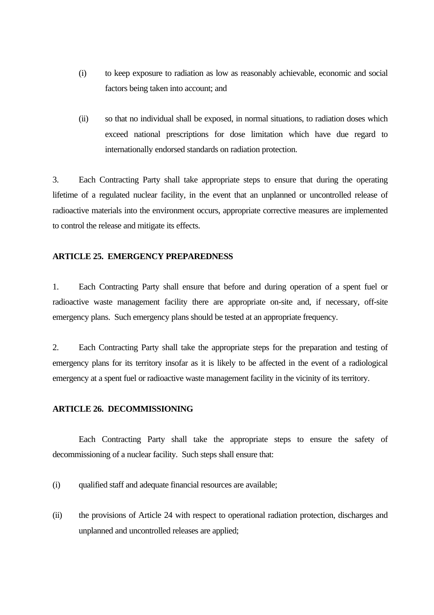- (i) to keep exposure to radiation as low as reasonably achievable, economic and social factors being taken into account; and
- (ii) so that no individual shall be exposed, in normal situations, to radiation doses which exceed national prescriptions for dose limitation which have due regard to internationally endorsed standards on radiation protection.

3. Each Contracting Party shall take appropriate steps to ensure that during the operating lifetime of a regulated nuclear facility, in the event that an unplanned or uncontrolled release of radioactive materials into the environment occurs, appropriate corrective measures are implemented to control the release and mitigate its effects.

#### **ARTICLE 25. EMERGENCY PREPAREDNESS**

1. Each Contracting Party shall ensure that before and during operation of a spent fuel or radioactive waste management facility there are appropriate on-site and, if necessary, off-site emergency plans. Such emergency plans should be tested at an appropriate frequency.

2. Each Contracting Party shall take the appropriate steps for the preparation and testing of emergency plans for its territory insofar as it is likely to be affected in the event of a radiological emergency at a spent fuel or radioactive waste management facility in the vicinity of its territory.

#### **ARTICLE 26. DECOMMISSIONING**

Each Contracting Party shall take the appropriate steps to ensure the safety of decommissioning of a nuclear facility. Such steps shall ensure that:

- (i) qualified staff and adequate financial resources are available;
- (ii) the provisions of Article 24 with respect to operational radiation protection, discharges and unplanned and uncontrolled releases are applied;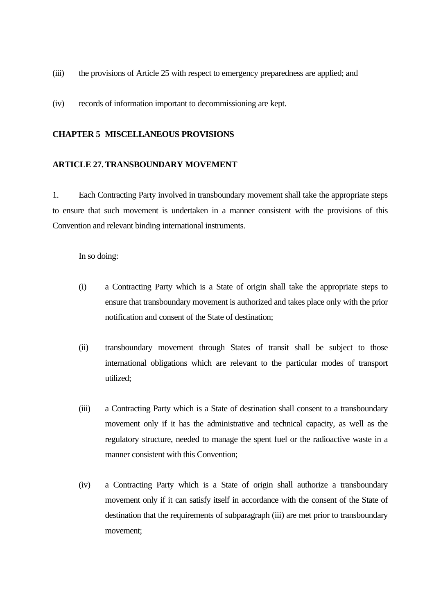(iii) the provisions of Article 25 with respect to emergency preparedness are applied; and

(iv) records of information important to decommissioning are kept.

#### **CHAPTER 5 MISCELLANEOUS PROVISIONS**

#### **ARTICLE 27.TRANSBOUNDARY MOVEMENT**

1. Each Contracting Party involved in transboundary movement shall take the appropriate steps to ensure that such movement is undertaken in a manner consistent with the provisions of this Convention and relevant binding international instruments.

In so doing:

- (i) a Contracting Party which is a State of origin shall take the appropriate steps to ensure that transboundary movement is authorized and takes place only with the prior notification and consent of the State of destination;
- (ii) transboundary movement through States of transit shall be subject to those international obligations which are relevant to the particular modes of transport utilized;
- (iii) a Contracting Party which is a State of destination shall consent to a transboundary movement only if it has the administrative and technical capacity, as well as the regulatory structure, needed to manage the spent fuel or the radioactive waste in a manner consistent with this Convention;
- (iv) a Contracting Party which is a State of origin shall authorize a transboundary movement only if it can satisfy itself in accordance with the consent of the State of destination that the requirements of subparagraph (iii) are met prior to transboundary movement;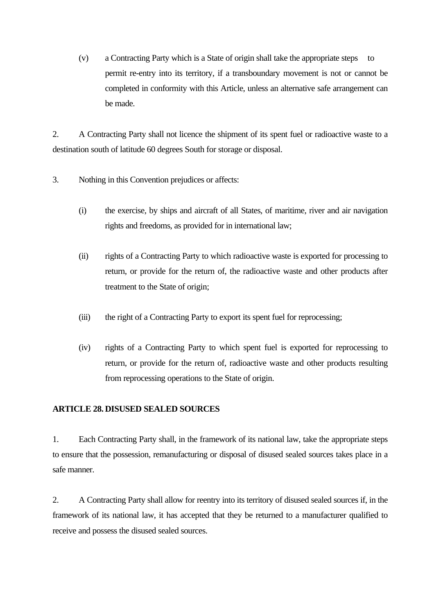(v) a Contracting Party which is a State of origin shall take the appropriate steps to permit re-entry into its territory, if a transboundary movement is not or cannot be completed in conformity with this Article, unless an alternative safe arrangement can be made.

2. A Contracting Party shall not licence the shipment of its spent fuel or radioactive waste to a destination south of latitude 60 degrees South for storage or disposal.

3. Nothing in this Convention prejudices or affects:

- (i) the exercise, by ships and aircraft of all States, of maritime, river and air navigation rights and freedoms, as provided for in international law;
- (ii) rights of a Contracting Party to which radioactive waste is exported for processing to return, or provide for the return of, the radioactive waste and other products after treatment to the State of origin;
- (iii) the right of a Contracting Party to export its spent fuel for reprocessing;
- (iv) rights of a Contracting Party to which spent fuel is exported for reprocessing to return, or provide for the return of, radioactive waste and other products resulting from reprocessing operations to the State of origin.

### **ARTICLE 28. DISUSED SEALED SOURCES**

1. Each Contracting Party shall, in the framework of its national law, take the appropriate steps to ensure that the possession, remanufacturing or disposal of disused sealed sources takes place in a safe manner.

2. A Contracting Party shall allow for reentry into its territory of disused sealed sources if, in the framework of its national law, it has accepted that they be returned to a manufacturer qualified to receive and possess the disused sealed sources.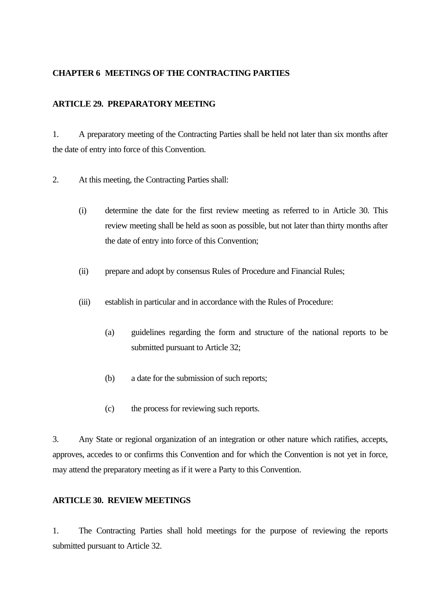### **CHAPTER 6 MEETINGS OF THE CONTRACTING PARTIES**

### **ARTICLE 29. PREPARATORY MEETING**

1. A preparatory meeting of the Contracting Parties shall be held not later than six months after the date of entry into force of this Convention.

- 2. At this meeting, the Contracting Parties shall:
	- (i) determine the date for the first review meeting as referred to in Article 30. This review meeting shall be held as soon as possible, but not later than thirty months after the date of entry into force of this Convention;
	- (ii) prepare and adopt by consensus Rules of Procedure and Financial Rules;
	- (iii) establish in particular and in accordance with the Rules of Procedure:
		- (a) guidelines regarding the form and structure of the national reports to be submitted pursuant to Article 32;
		- (b) a date for the submission of such reports;
		- (c) the process for reviewing such reports.

3. Any State or regional organization of an integration or other nature which ratifies, accepts, approves, accedes to or confirms this Convention and for which the Convention is not yet in force, may attend the preparatory meeting as if it were a Party to this Convention.

### **ARTICLE 30. REVIEW MEETINGS**

1. The Contracting Parties shall hold meetings for the purpose of reviewing the reports submitted pursuant to Article 32.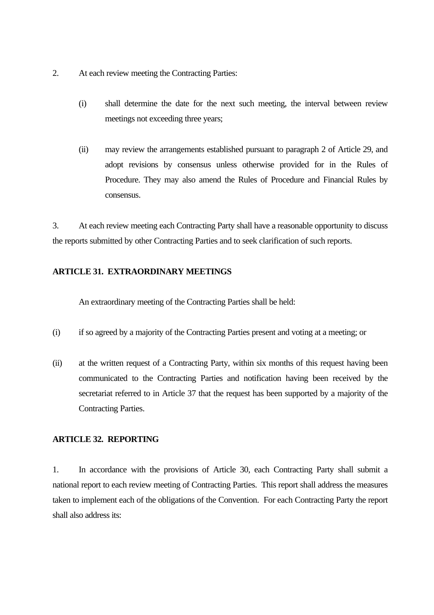- 2. At each review meeting the Contracting Parties:
	- (i) shall determine the date for the next such meeting, the interval between review meetings not exceeding three years;
	- (ii) may review the arrangements established pursuant to paragraph 2 of Article 29, and adopt revisions by consensus unless otherwise provided for in the Rules of Procedure. They may also amend the Rules of Procedure and Financial Rules by consensus.

3. At each review meeting each Contracting Party shall have a reasonable opportunity to discuss the reports submitted by other Contracting Parties and to seek clarification of such reports.

### **ARTICLE 31. EXTRAORDINARY MEETINGS**

An extraordinary meeting of the Contracting Parties shall be held:

- (i) if so agreed by a majority of the Contracting Parties present and voting at a meeting; or
- (ii) at the written request of a Contracting Party, within six months of this request having been communicated to the Contracting Parties and notification having been received by the secretariat referred to in Article 37 that the request has been supported by a majority of the Contracting Parties.

### **ARTICLE 32. REPORTING**

1. In accordance with the provisions of Article 30, each Contracting Party shall submit a national report to each review meeting of Contracting Parties. This report shall address the measures taken to implement each of the obligations of the Convention. For each Contracting Party the report shall also address its: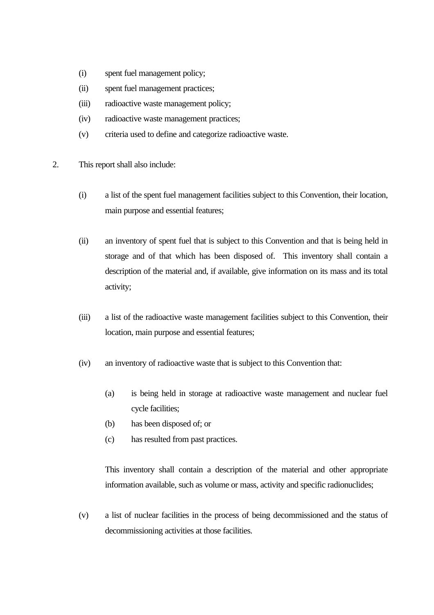- (i) spent fuel management policy;
- (ii) spent fuel management practices;
- (iii) radioactive waste management policy;
- (iv) radioactive waste management practices;
- (v) criteria used to define and categorize radioactive waste.
- 2. This report shall also include:
	- (i) a list of the spent fuel management facilities subject to this Convention, their location, main purpose and essential features;
	- (ii) an inventory of spent fuel that is subject to this Convention and that is being held in storage and of that which has been disposed of. This inventory shall contain a description of the material and, if available, give information on its mass and its total activity;
	- (iii) a list of the radioactive waste management facilities subject to this Convention, their location, main purpose and essential features;
	- (iv) an inventory of radioactive waste that is subject to this Convention that:
		- (a) is being held in storage at radioactive waste management and nuclear fuel cycle facilities;
		- (b) has been disposed of; or
		- (c) has resulted from past practices.

This inventory shall contain a description of the material and other appropriate information available, such as volume or mass, activity and specific radionuclides;

(v) a list of nuclear facilities in the process of being decommissioned and the status of decommissioning activities at those facilities.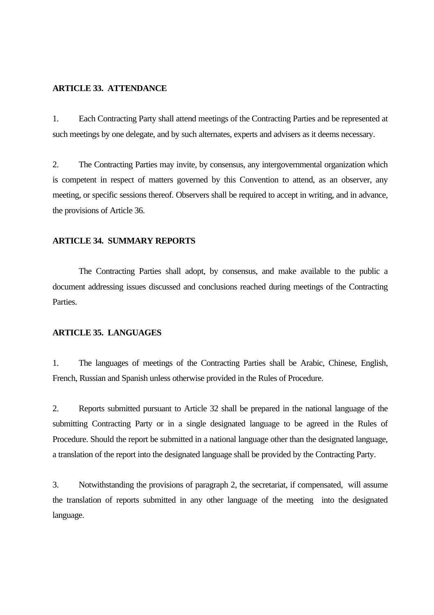#### **ARTICLE 33. ATTENDANCE**

1. Each Contracting Party shall attend meetings of the Contracting Parties and be represented at such meetings by one delegate, and by such alternates, experts and advisers as it deems necessary.

2. The Contracting Parties may invite, by consensus, any intergovernmental organization which is competent in respect of matters governed by this Convention to attend, as an observer, any meeting, or specific sessions thereof. Observers shall be required to accept in writing, and in advance, the provisions of Article 36.

#### **ARTICLE 34. SUMMARY REPORTS**

The Contracting Parties shall adopt, by consensus, and make available to the public a document addressing issues discussed and conclusions reached during meetings of the Contracting Parties.

### **ARTICLE 35. LANGUAGES**

1. The languages of meetings of the Contracting Parties shall be Arabic, Chinese, English, French, Russian and Spanish unless otherwise provided in the Rules of Procedure.

2. Reports submitted pursuant to Article 32 shall be prepared in the national language of the submitting Contracting Party or in a single designated language to be agreed in the Rules of Procedure. Should the report be submitted in a national language other than the designated language, a translation of the report into the designated language shall be provided by the Contracting Party.

3. Notwithstanding the provisions of paragraph 2, the secretariat, if compensated, will assume the translation of reports submitted in any other language of the meeting into the designated language.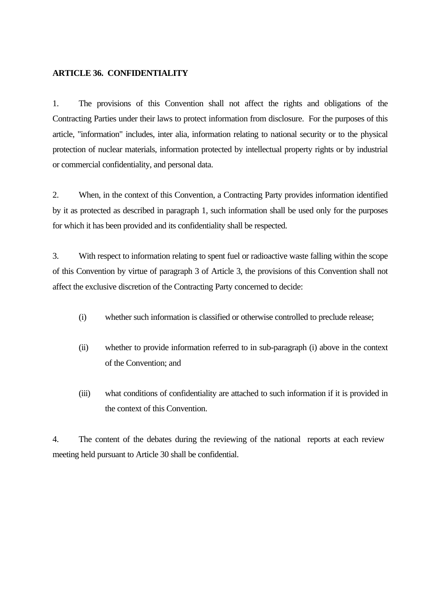### **ARTICLE 36. CONFIDENTIALITY**

1. The provisions of this Convention shall not affect the rights and obligations of the Contracting Parties under their laws to protect information from disclosure. For the purposes of this article, "information" includes, inter alia, information relating to national security or to the physical protection of nuclear materials, information protected by intellectual property rights or by industrial or commercial confidentiality, and personal data.

2. When, in the context of this Convention, a Contracting Party provides information identified by it as protected as described in paragraph 1, such information shall be used only for the purposes for which it has been provided and its confidentiality shall be respected.

3. With respect to information relating to spent fuel or radioactive waste falling within the scope of this Convention by virtue of paragraph 3 of Article 3, the provisions of this Convention shall not affect the exclusive discretion of the Contracting Party concerned to decide:

- (i) whether such information is classified or otherwise controlled to preclude release;
- (ii) whether to provide information referred to in sub-paragraph (i) above in the context of the Convention; and
- (iii) what conditions of confidentiality are attached to such information if it is provided in the context of this Convention.

4. The content of the debates during the reviewing of the national reports at each review meeting held pursuant to Article 30 shall be confidential.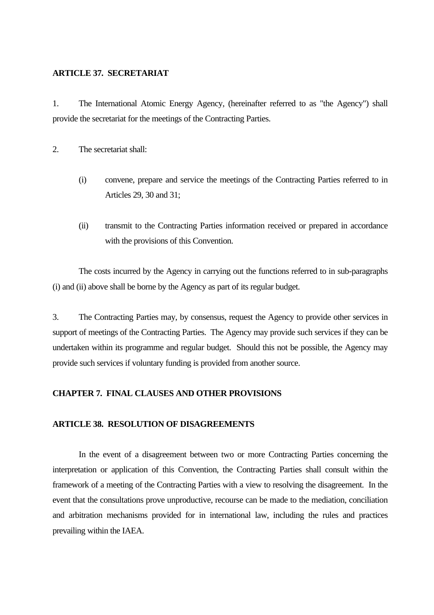#### **ARTICLE 37. SECRETARIAT**

1. The International Atomic Energy Agency, (hereinafter referred to as "the Agency") shall provide the secretariat for the meetings of the Contracting Parties.

- 2. The secretariat shall:
	- (i) convene, prepare and service the meetings of the Contracting Parties referred to in Articles 29, 30 and 31;
	- (ii) transmit to the Contracting Parties information received or prepared in accordance with the provisions of this Convention.

The costs incurred by the Agency in carrying out the functions referred to in sub-paragraphs (i) and (ii) above shall be borne by the Agency as part of its regular budget.

3. The Contracting Parties may, by consensus, request the Agency to provide other services in support of meetings of the Contracting Parties. The Agency may provide such services if they can be undertaken within its programme and regular budget. Should this not be possible, the Agency may provide such services if voluntary funding is provided from another source.

#### **CHAPTER 7. FINAL CLAUSES AND OTHER PROVISIONS**

#### **ARTICLE 38. RESOLUTION OF DISAGREEMENTS**

In the event of a disagreement between two or more Contracting Parties concerning the interpretation or application of this Convention, the Contracting Parties shall consult within the framework of a meeting of the Contracting Parties with a view to resolving the disagreement. In the event that the consultations prove unproductive, recourse can be made to the mediation, conciliation and arbitration mechanisms provided for in international law, including the rules and practices prevailing within the IAEA.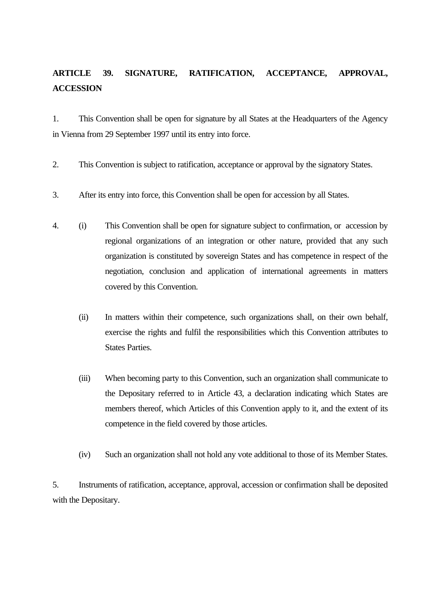## **ARTICLE 39. SIGNATURE, RATIFICATION, ACCEPTANCE, APPROVAL, ACCESSION**

1. This Convention shall be open for signature by all States at the Headquarters of the Agency in Vienna from 29 September 1997 until its entry into force.

- 2. This Convention is subject to ratification, acceptance or approval by the signatory States.
- 3. After its entry into force, this Convention shall be open for accession by all States.
- 4. (i) This Convention shall be open for signature subject to confirmation, or accession by regional organizations of an integration or other nature, provided that any such organization is constituted by sovereign States and has competence in respect of the negotiation, conclusion and application of international agreements in matters covered by this Convention.
	- (ii) In matters within their competence, such organizations shall, on their own behalf, exercise the rights and fulfil the responsibilities which this Convention attributes to States Parties.
	- (iii) When becoming party to this Convention, such an organization shall communicate to the Depositary referred to in Article 43, a declaration indicating which States are members thereof, which Articles of this Convention apply to it, and the extent of its competence in the field covered by those articles.
	- (iv) Such an organization shall not hold any vote additional to those of its Member States.

5. Instruments of ratification, acceptance, approval, accession or confirmation shall be deposited with the Depositary.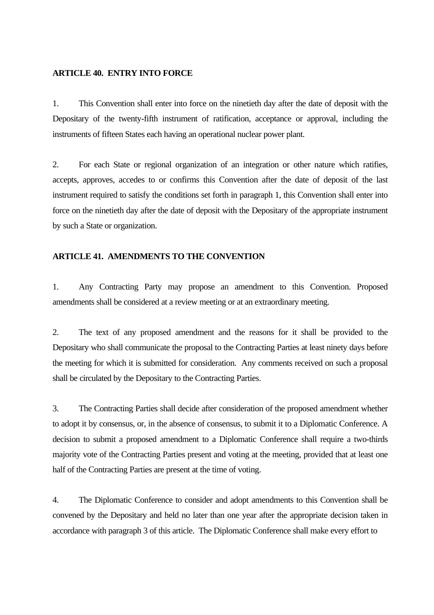#### **ARTICLE 40. ENTRY INTO FORCE**

1. This Convention shall enter into force on the ninetieth day after the date of deposit with the Depositary of the twenty-fifth instrument of ratification, acceptance or approval, including the instruments of fifteen States each having an operational nuclear power plant.

2. For each State or regional organization of an integration or other nature which ratifies, accepts, approves, accedes to or confirms this Convention after the date of deposit of the last instrument required to satisfy the conditions set forth in paragraph 1, this Convention shall enter into force on the ninetieth day after the date of deposit with the Depositary of the appropriate instrument by such a State or organization.

### **ARTICLE 41. AMENDMENTS TO THE CONVENTION**

1. Any Contracting Party may propose an amendment to this Convention. Proposed amendments shall be considered at a review meeting or at an extraordinary meeting.

2. The text of any proposed amendment and the reasons for it shall be provided to the Depositary who shall communicate the proposal to the Contracting Parties at least ninety days before the meeting for which it is submitted for consideration. Any comments received on such a proposal shall be circulated by the Depositary to the Contracting Parties.

3. The Contracting Parties shall decide after consideration of the proposed amendment whether to adopt it by consensus, or, in the absence of consensus, to submit it to a Diplomatic Conference. A decision to submit a proposed amendment to a Diplomatic Conference shall require a two-thirds majority vote of the Contracting Parties present and voting at the meeting, provided that at least one half of the Contracting Parties are present at the time of voting.

4. The Diplomatic Conference to consider and adopt amendments to this Convention shall be convened by the Depositary and held no later than one year after the appropriate decision taken in accordance with paragraph 3 of this article. The Diplomatic Conference shall make every effort to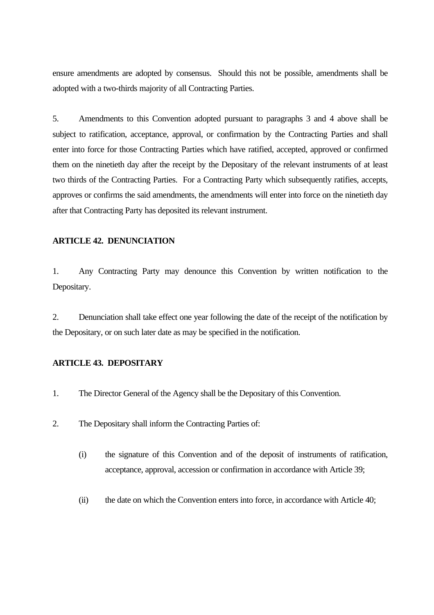ensure amendments are adopted by consensus. Should this not be possible, amendments shall be adopted with a two-thirds majority of all Contracting Parties.

5. Amendments to this Convention adopted pursuant to paragraphs 3 and 4 above shall be subject to ratification, acceptance, approval, or confirmation by the Contracting Parties and shall enter into force for those Contracting Parties which have ratified, accepted, approved or confirmed them on the ninetieth day after the receipt by the Depositary of the relevant instruments of at least two thirds of the Contracting Parties. For a Contracting Party which subsequently ratifies, accepts, approves or confirms the said amendments, the amendments will enter into force on the ninetieth day after that Contracting Party has deposited its relevant instrument.

#### **ARTICLE 42. DENUNCIATION**

1. Any Contracting Party may denounce this Convention by written notification to the Depositary.

2. Denunciation shall take effect one year following the date of the receipt of the notification by the Depositary, or on such later date as may be specified in the notification.

#### **ARTICLE 43. DEPOSITARY**

- 1. The Director General of the Agency shall be the Depositary of this Convention.
- 2. The Depositary shall inform the Contracting Parties of:
	- (i) the signature of this Convention and of the deposit of instruments of ratification, acceptance, approval, accession or confirmation in accordance with Article 39;
	- (ii) the date on which the Convention enters into force, in accordance with Article 40;